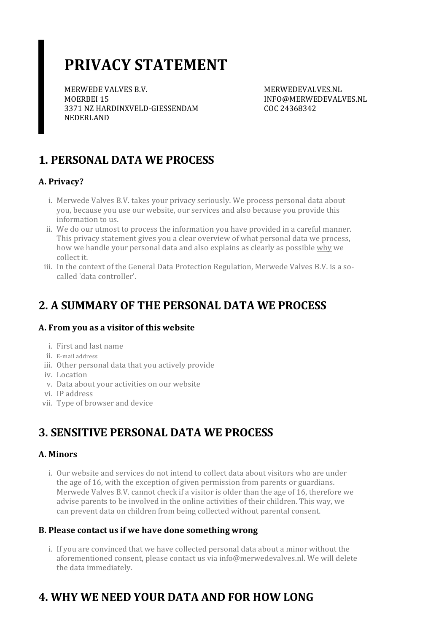# **PRIVACY STATEMENT**

MERWEDE VALVES B.V. MOERBEI 15 3371 NZ HARDINXVELD-GIESSENDAM NEDERLAND

MERWEDEVALVES.NL INFO@MERWEDEVALVES.NL COC 24368342

### **1. PERSONAL DATA WE PROCESS**

### **A. Privacy?**

- i. Merwede Valves B.V. takes your privacy seriously. We process personal data about you, because you use our website, our services and also because you provide this information to us.
- ii. We do our utmost to process the information you have provided in a careful manner. This privacy statement gives you a clear overview of what personal data we process, how we handle your personal data and also explains as clearly as possible why we collect it.
- iii. In the context of the General Data Protection Regulation, Merwede Valves B.V. is a socalled 'data controller'.

### **2. A SUMMARY OF THE PERSONAL DATA WE PROCESS**

### **A. From you as a visitor of this website**

- i. First and last name
- ii. E-mail address
- iii. Other personal data that you actively provide
- iv. Location
- v. Data about your activities on our website
- vi. IP address
- vii. Type of browser and device

### **3. SENSITIVE PERSONAL DATA WE PROCESS**

#### **A. Minors**

i. Our website and services do not intend to collect data about visitors who are under the age of 16, with the exception of given permission from parents or guardians. Merwede Valves B.V. cannot check if a visitor is older than the age of 16, therefore we advise parents to be involved in the online activities of their children. This way, we can prevent data on children from being collected without parental consent.

### **B. Please contact usif we have done somethingwrong**

i. If you are convinced that we have collected personal data about a minor without the aforementioned consent, please contact us via info@merwedevalves.nl. We will delete the data immediately.

## **4. WHY WE NEED YOUR DATA AND FOR HOW LONG**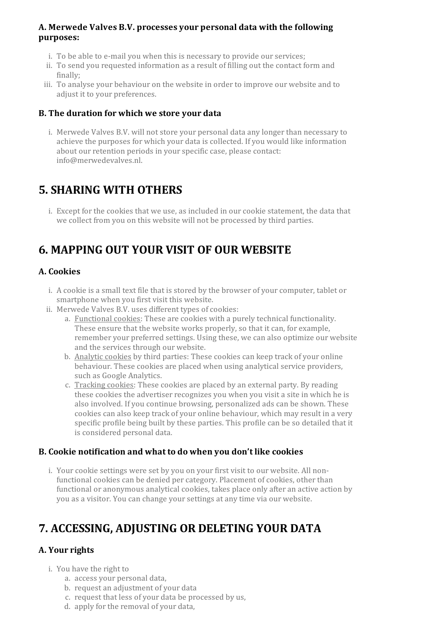#### **A. Merwede Valves B.V. processes your personal data with the following purposes:**

- i. To be able to e-mail you when this is necessary to provide our services:
- ii. To send you requested information as a result of filling out the contact form and finally;
- iii. To analyse your behaviour on the website in orderto improve our website and to adjust it to your preferences.

#### **B. The duration for which we store your data**

i. Merwede Valves B.V. will not store your personal data any longer than necessary to achieve the purposes for which your data is collected. If you would like information about our retention periods in your specific case, please contact: info@merwedevalves.nl.

### **5. SHARING WITH OTHERS**

i. Except for the cookies that we use, as included in our cookie statement, the data that we collect from you on this website will not be processed by third parties.

### **6. MAPPING OUT YOUR VISIT OF OUR WEBSITE**

### **A. Cookies**

- i. A cookie is a small text file that is stored by the browser of your computer, tablet or smartphone when you first visit this website.
- ii. Merwede Valves B.V. uses different types of cookies:
	- a. Functional cookies: These are cookies with a purely technical functionality. These ensure that the website works properly, so that it can, for example, remember your preferred settings. Using these, we can also optimize our website and the services through our website.
	- b. Analytic cookies by third parties: These cookies can keep track of your online behaviour. These cookies are placed when using analytical service providers, such as Google Analytics.
	- c. Tracking cookies: These cookies are placed by an external party. By reading these cookies the advertiser recognizes you when you visit a site in which he is also involved. If you continue browsing, personalized ads can be shown. These cookies can also keep track of your online behaviour, which may result in a very specific profile being built by these parties. This profile can be so detailed that it is considered personal data.

#### **B. Cookie notification and what to do when you don't like cookies**

i. Your cookie settings were set by you on your first visit to our website. All nonfunctional cookies can be denied per category. Placement of cookies, other than functional or anonymous analytical cookies, takes place only after an active action by you as a visitor. You can change yoursettings at any time via our website.

### **7. ACCESSING, ADJUSTING OR DELETING YOUR DATA**

### **A.** Your rights

- i. You have the right to
	- a. access your personal data,
	- b. request an adjustment of your data
	- c. request that less of your data be processed by us,
	- d. apply for the removal of your data,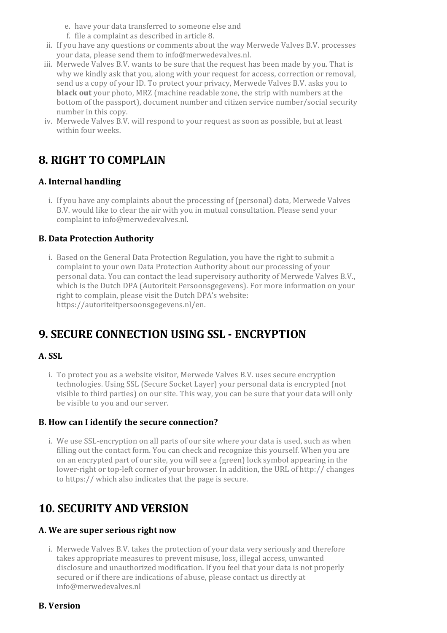- e. have your data transferred to someone else and
- f. file a complaint as described in article 8.
- ii. If you have any questions or comments about the way Merwede Valves B.V. processes your data, please send them to info@merwedevalves.nl.
- iii. Merwede Valves B.V. wants to be sure that the request has been made by you. That is why we kindly ask that you, along with your request for access, correction or removal, send us a copy of your ID. To protect your privacy, Merwede Valves B.V. asks you to **black out** your photo, MRZ (machine readable zone, the strip with numbers at the bottom of the passport), document number and citizen service number/social security number in this copy.
- iv. Merwede Valves B.V. will respond to your request as soon as possible, but at least within four weeks.

### **8. RIGHT TO COMPLAIN**

### **A. Internal handling**

i. If you have any complaints about the processing of (personal) data, Merwede Valves B.V. would like to clear the air with you in mutual consultation. Please send your complaint to info@merwedevalves.nl.

### **B. Data Protection Authority**

i. Based on the General Data Protection Regulation, you have the right to submit a complaint to your own Data Protection Authority about our processing of your personal data. You can contact the lead supervisory authority of Merwede Valves B.V., which is the Dutch DPA (Autoriteit Persoonsgegevens). For more information on your right to complain, please visit the Dutch DPA's website: https://autoriteitpersoonsgegevens.nl/en.

### **9. SECURE CONNECTION USING SSL - ENCRYPTION**

#### **A. SSL**

i. To protect you as a website visitor, Merwede Valves B.V. uses secure encryption technologies. Using SSL (Secure Socket Layer) your personal data is encrypted (not visible to third parties) on oursite. This way, you can be sure that your data will only be visible to you and our server.

#### **B. How can I identify the secure connection?**

i. We use SSL-encryption on all parts of our site where your data is used, such as when filling out the contact form. You can check and recognize this yourself. When you are on an encrypted part of oursite, you will see a (green) lock symbol appearing in the lower-right ortop-left corner of your browser. In addition, the URL of http:// changes to https:// which also indicates that the page is secure.

### **10. SECURITY AND VERSION**

#### **A. We are superseriousright now**

i. Merwede Valves B.V. takes the protection of your data very seriously and therefore takes appropriate measures to prevent misuse, loss, illegal access, unwanted disclosure and unauthorized modification. If you feel that your data is not properly secured or if there are indications of abuse, please contact us directly at info@merwedevalves.nl

#### **B. Version**